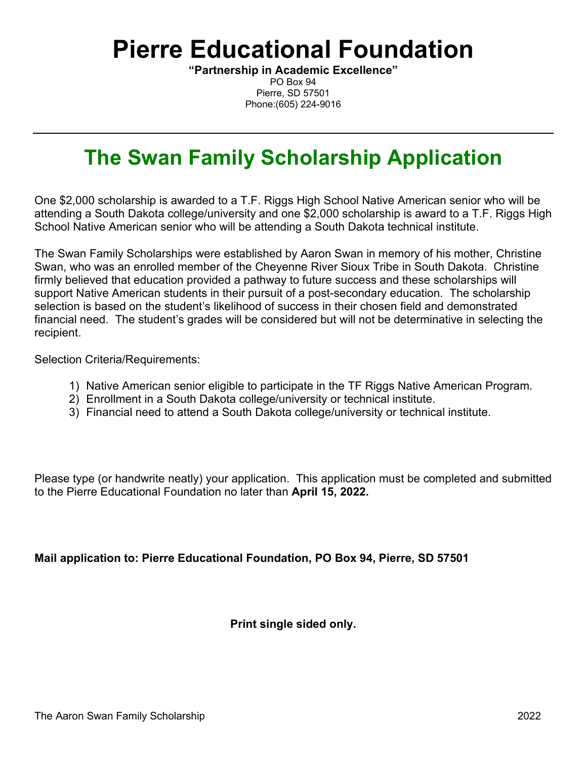# **Pierre Educational Foundation**

**"Partnership in Academic Excellence"** PO Box 94 Pierre, SD 57501 Phone:(605) 224-9016

## **The Swan Family Scholarship Application**

One \$2,000 scholarship is awarded to a T.F. Riggs High School Native American senior who will be attending a South Dakota college/university and one \$2,000 scholarship is award to a T.F. Riggs High School Native American senior who will be attending a South Dakota technical institute.

The Swan Family Scholarships were established by Aaron Swan in memory of his mother, Christine Swan, who was an enrolled member of the Cheyenne River Sioux Tribe in South Dakota. Christine firmly believed that education provided a pathway to future success and these scholarships will support Native American students in their pursuit of a post-secondary education. The scholarship selection is based on the student's likelihood of success in their chosen field and demonstrated financial need. The student's grades will be considered but will not be determinative in selecting the recipient.

Selection Criteria/Requirements:

- 1) Native American senior eligible to participate in the TF Riggs Native American Program.
- 2) Enrollment in a South Dakota college/university or technical institute.
- 3) Financial need to attend a South Dakota college/university or technical institute.

Please type (or handwrite neatly) your application. This application must be completed and submitted to the Pierre Educational Foundation no later than **April 15, 2022.**

**Mail application to: Pierre Educational Foundation, PO Box 94, Pierre, SD 57501**

**Print single sided only.**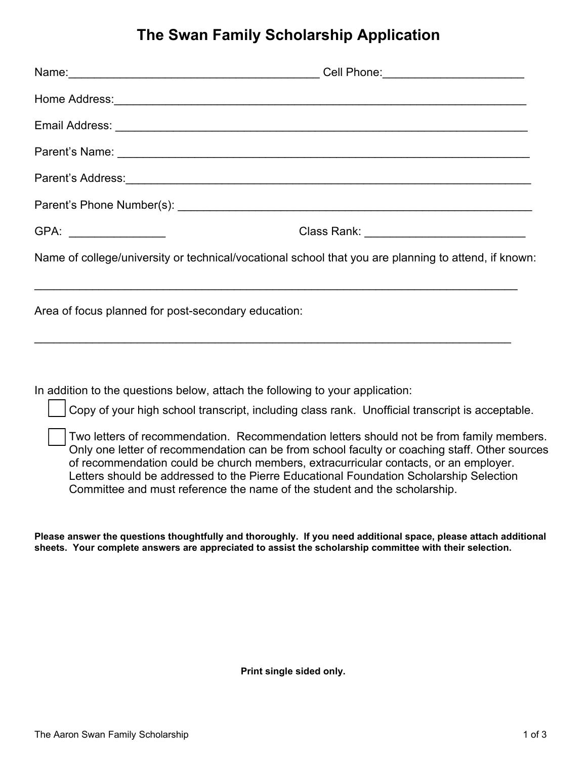### **The Swan Family Scholarship Application**

|                       | Parent's Address: <b>Market and Address and Address and Address and Address and Address and Address and Address and Address and Address and Address and Address and Address and Address and Address and Address and Address and </b> |
|-----------------------|--------------------------------------------------------------------------------------------------------------------------------------------------------------------------------------------------------------------------------------|
|                       |                                                                                                                                                                                                                                      |
| GPA: ________________ | Class Rank: _____________________________                                                                                                                                                                                            |
|                       | Name of college/university or technical/vocational school that you are planning to attend, if known:                                                                                                                                 |
|                       | Area of focus planned for post-secondary education:                                                                                                                                                                                  |
|                       |                                                                                                                                                                                                                                      |

In addition to the questions below, attach the following to your application:

Copy of your high school transcript, including class rank. Unofficial transcript is acceptable.

Two letters of recommendation. Recommendation letters should not be from family members. Only one letter of recommendation can be from school faculty or coaching staff. Other sources of recommendation could be church members, extracurricular contacts, or an employer. Letters should be addressed to the Pierre Educational Foundation Scholarship Selection Committee and must reference the name of the student and the scholarship.

**Please answer the questions thoughtfully and thoroughly. If you need additional space, please attach additional sheets. Your complete answers are appreciated to assist the scholarship committee with their selection.** 

**Print single sided only.**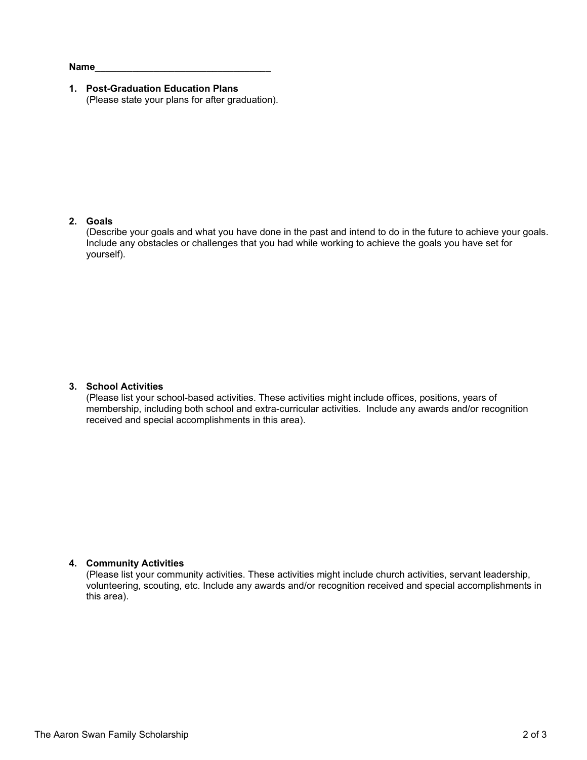**Name\_\_\_\_\_\_\_\_\_\_\_\_\_\_\_\_\_\_\_\_\_\_\_\_\_\_\_\_\_\_\_\_\_**

**1. Post-Graduation Education Plans** (Please state your plans for after graduation).

#### **2. Goals**

(Describe your goals and what you have done in the past and intend to do in the future to achieve your goals. Include any obstacles or challenges that you had while working to achieve the goals you have set for yourself).

#### **3. School Activities**

(Please list your school-based activities. These activities might include offices, positions, years of membership, including both school and extra-curricular activities. Include any awards and/or recognition received and special accomplishments in this area).

#### **4. Community Activities**

(Please list your community activities. These activities might include church activities, servant leadership, volunteering, scouting, etc. Include any awards and/or recognition received and special accomplishments in this area).